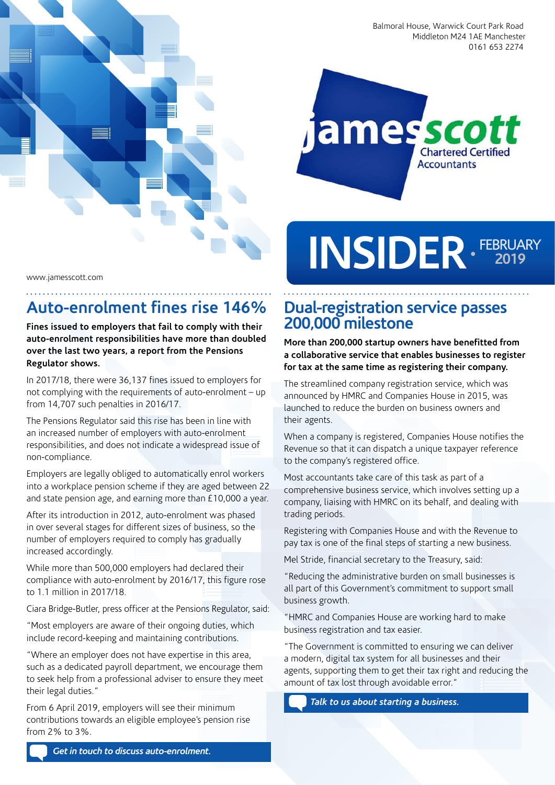Balmoral House, Warwick Court Park Road Middleton M24 1AE Manchester 0161 653 2274

**Chartered Certified** 

**Accountants** 



**INSIDER** FEBRUARY **2019**

jamesscott

www.jamesscott.com

# **Auto-enrolment fines rise 146%**

**Fines issued to employers that fail to comply with their auto-enrolment responsibilities have more than doubled over the last two years, a report from the Pensions Regulator shows.**

In 2017/18, there were 36,137 fines issued to employers for not complying with the requirements of auto-enrolment – up from 14,707 such penalties in 2016/17.

The Pensions Regulator said this rise has been in line with an increased number of employers with auto-enrolment responsibilities, and does not indicate a widespread issue of non-compliance.

Employers are legally obliged to automatically enrol workers into a workplace pension scheme if they are aged between 22 and state pension age, and earning more than £10,000 a year.

After its introduction in 2012, auto-enrolment was phased in over several stages for different sizes of business, so the number of employers required to comply has gradually increased accordingly.

While more than 500,000 employers had declared their compliance with auto-enrolment by 2016/17, this figure rose to 1.1 million in 2017/18.

Ciara Bridge-Butler, press officer at the Pensions Regulator, said:

"Most employers are aware of their ongoing duties, which include record-keeping and maintaining contributions.

"Where an employer does not have expertise in this area, such as a dedicated payroll department, we encourage them to seek help from a professional adviser to ensure they meet their legal duties."

From 6 April 2019, employers will see their minimum contributions towards an eligible employee's pension rise from 2% to 3%.

### **Dual-registration service passes 200,000 milestone**

**More than 200,000 startup owners have benefitted from a collaborative service that enables businesses to register for tax at the same time as registering their company.** 

The streamlined company registration service, which was announced by HMRC and Companies House in 2015, was launched to reduce the burden on business owners and their agents.

When a company is registered, Companies House notifies the Revenue so that it can dispatch a unique taxpayer reference to the company's registered office.

Most accountants take care of this task as part of a comprehensive business service, which involves setting up a company, liaising with HMRC on its behalf, and dealing with trading periods.

Registering with Companies House and with the Revenue to pay tax is one of the final steps of starting a new business.

Mel Stride, financial secretary to the Treasury, said:

"Reducing the administrative burden on small businesses is all part of this Government's commitment to support small business growth.

"HMRC and Companies House are working hard to make business registration and tax easier.

"The Government is committed to ensuring we can deliver a modern, digital tax system for all businesses and their agents, supporting them to get their tax right and reducing the amount of tax lost through avoidable error."

*Talk to us about starting a business.*